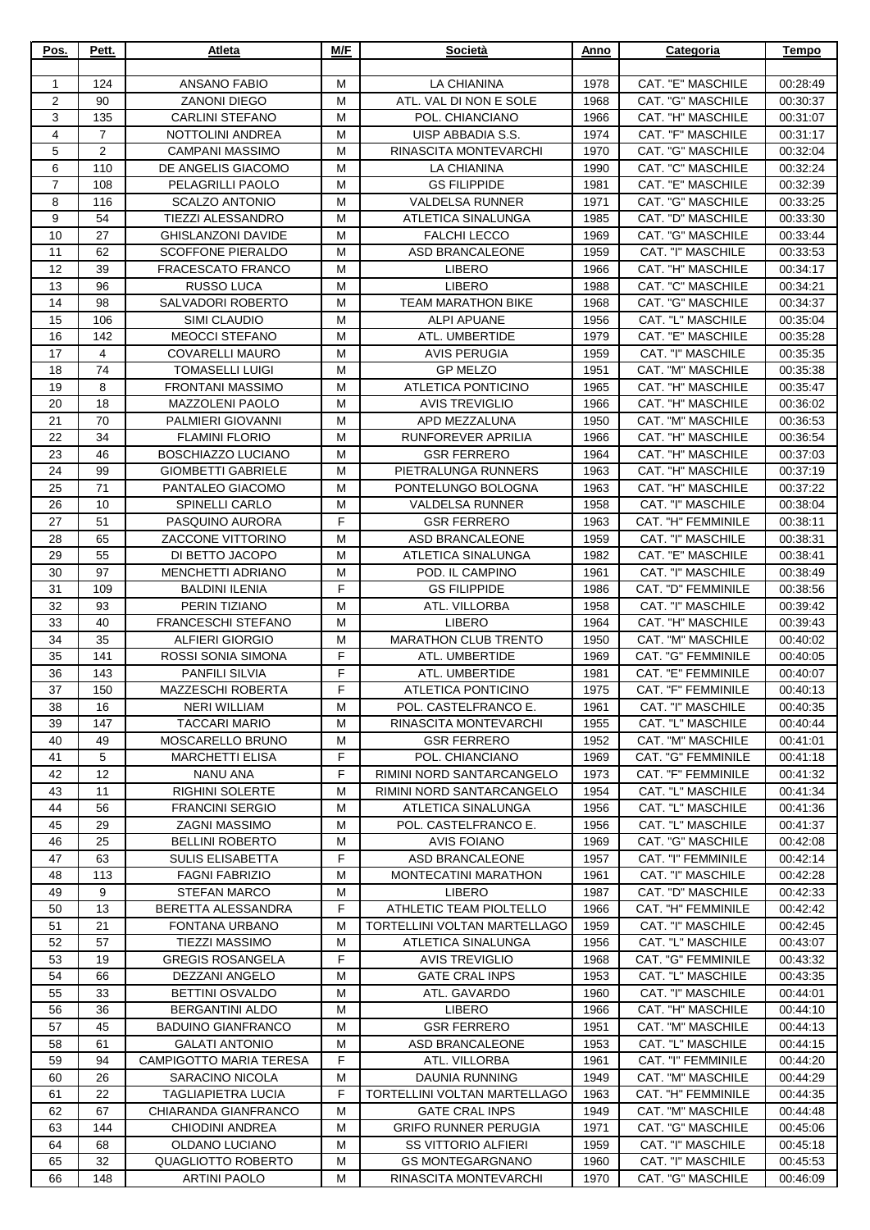| Pos.                | Pett.          | Atleta                                            | M/F    | Società                                              | Anno         | Categoria                               | <b>Tempo</b>         |
|---------------------|----------------|---------------------------------------------------|--------|------------------------------------------------------|--------------|-----------------------------------------|----------------------|
|                     | 124            | <b>ANSANO FABIO</b>                               | M      | <b>LA CHIANINA</b>                                   |              | CAT. "E" MASCHILE                       |                      |
| 1<br>$\overline{2}$ | 90             | <b>ZANONI DIEGO</b>                               | M      | ATL. VAL DI NON E SOLE                               | 1978<br>1968 | CAT. "G" MASCHILE                       | 00:28:49<br>00:30:37 |
| 3                   | 135            | <b>CARLINI STEFANO</b>                            | M      | POL. CHIANCIANO                                      | 1966         | CAT. "H" MASCHILE                       | 00:31:07             |
| 4                   | $\overline{7}$ | NOTTOLINI ANDREA                                  | M      | UISP ABBADIA S.S.                                    | 1974         | CAT. "F" MASCHILE                       | 00:31:17             |
| 5                   | $\overline{2}$ | <b>CAMPANI MASSIMO</b>                            | M      | RINASCITA MONTEVARCHI                                | 1970         | CAT. "G" MASCHILE                       | 00:32:04             |
| 6                   | 110            | DE ANGELIS GIACOMO                                | M      | LA CHIANINA                                          | 1990         | CAT. "C" MASCHILE                       | 00:32:24             |
| $\overline{7}$      | 108            | PELAGRILLI PAOLO                                  | M      | <b>GS FILIPPIDE</b>                                  | 1981         | CAT. "E" MASCHILE                       | 00:32:39             |
| 8                   | 116            | <b>SCALZO ANTONIO</b>                             | M      | <b>VALDELSA RUNNER</b>                               | 1971         | CAT. "G" MASCHILE                       | 00:33:25             |
| 9                   | 54             | <b>TIEZZI ALESSANDRO</b>                          | M      | ATLETICA SINALUNGA                                   | 1985         | CAT. "D" MASCHILE                       | 00:33:30             |
| 10                  | 27             | <b>GHISLANZONI DAVIDE</b>                         | м      | <b>FALCHI LECCO</b>                                  | 1969         | CAT. "G" MASCHILE                       | 00:33:44             |
| 11                  | 62             | <b>SCOFFONE PIERALDO</b>                          | м      | ASD BRANCALEONE                                      | 1959         | <b>CAT. "I" MASCHILE</b>                | 00:33:53             |
| 12                  | 39             | <b>FRACESCATO FRANCO</b>                          | M      | <b>LIBERO</b>                                        | 1966         | CAT. "H" MASCHILE                       | 00:34:17             |
| 13                  | 96             | RUSSO LUCA                                        | М      | LIBERO                                               | 1988         | CAT. "C" MASCHILE                       | 00:34:21             |
| 14<br>15            | 98<br>106      | SALVADORI ROBERTO<br>SIMI CLAUDIO                 | M<br>M | <b>TEAM MARATHON BIKE</b><br><b>ALPI APUANE</b>      | 1968<br>1956 | CAT. "G" MASCHILE<br>CAT. "L" MASCHILE  | 00:34:37<br>00:35:04 |
| 16                  | 142            | <b>MEOCCI STEFANO</b>                             | M      | ATL. UMBERTIDE                                       | 1979         | CAT. "E" MASCHILE                       | 00:35:28             |
| 17                  | 4              | <b>COVARELLI MAURO</b>                            | M      | <b>AVIS PERUGIA</b>                                  | 1959         | CAT. "I" MASCHILE                       | 00:35:35             |
| 18                  | 74             | <b>TOMASELLI LUIGI</b>                            | M      | <b>GP MELZO</b>                                      | 1951         | CAT. "M" MASCHILE                       | 00:35:38             |
| 19                  | 8              | <b>FRONTANI MASSIMO</b>                           | M      | ATLETICA PONTICINO                                   | 1965         | CAT. "H" MASCHILE                       | 00:35:47             |
| 20                  | 18             | <b>MAZZOLENI PAOLO</b>                            | M      | <b>AVIS TREVIGLIO</b>                                | 1966         | CAT. "H" MASCHILE                       | 00:36:02             |
| 21                  | 70             | PALMIERI GIOVANNI                                 | M      | APD MEZZALUNA                                        | 1950         | CAT. "M" MASCHILE                       | 00:36:53             |
| 22                  | 34             | <b>FLAMINI FLORIO</b>                             | м      | RUNFOREVER APRILIA                                   | 1966         | CAT. "H" MASCHILE                       | 00:36:54             |
| 23                  | 46             | <b>BOSCHIAZZO LUCIANO</b>                         | м      | <b>GSR FERRERO</b>                                   | 1964         | CAT. "H" MASCHILE                       | 00:37:03             |
| 24                  | 99             | <b>GIOMBETTI GABRIELE</b>                         | м      | PIETRALUNGA RUNNERS                                  | 1963         | CAT. "H" MASCHILE                       | 00:37:19             |
| 25                  | 71             | PANTALEO GIACOMO                                  | M      | PONTELUNGO BOLOGNA                                   | 1963         | CAT. "H" MASCHILE                       | 00:37:22             |
| 26                  | 10             | <b>SPINELLI CARLO</b>                             | M      | <b>VALDELSA RUNNER</b>                               | 1958         | CAT. "I" MASCHILE                       | 00:38:04             |
| 27                  | 51             | PASQUINO AURORA                                   | F      | <b>GSR FERRERO</b>                                   | 1963         | CAT. "H" FEMMINILE                      | 00:38:11             |
| 28                  | 65             | ZACCONE VITTORINO                                 | M      | ASD BRANCALEONE                                      | 1959         | CAT. "I" MASCHILE                       | 00:38:31             |
| 29                  | 55             | DI BETTO JACOPO                                   | M      | ATLETICA SINALUNGA                                   | 1982         | CAT. "E" MASCHILE                       | 00:38:41             |
| 30                  | 97             | <b>MENCHETTI ADRIANO</b>                          | M      | POD. IL CAMPINO                                      | 1961         | CAT. "I" MASCHILE                       | 00:38:49             |
| 31<br>32            | 109<br>93      | <b>BALDINI ILENIA</b><br>PERIN TIZIANO            | F<br>M | <b>GS FILIPPIDE</b><br>ATL. VILLORBA                 | 1986<br>1958 | CAT. "D" FEMMINILE<br>CAT. "I" MASCHILE | 00:38:56<br>00:39:42 |
| 33                  | 40             | <b>FRANCESCHI STEFANO</b>                         | M      | <b>LIBERO</b>                                        | 1964         | CAT. "H" MASCHILE                       | 00:39:43             |
| 34                  | 35             | <b>ALFIERI GIORGIO</b>                            | M      | <b>MARATHON CLUB TRENTO</b>                          | 1950         | CAT. "M" MASCHILE                       | 00:40:02             |
| 35                  | 141            | ROSSI SONIA SIMONA                                | F      | ATL. UMBERTIDE                                       | 1969         | CAT. "G" FEMMINILE                      | 00:40:05             |
| 36                  | 143            | <b>PANFILI SILVIA</b>                             | F      | ATL. UMBERTIDE                                       | 1981         | CAT. "E" FEMMINILE                      | 00:40:07             |
| 37                  | 150            | <b>MAZZESCHI ROBERTA</b>                          | F.     | ATLETICA PONTICINO                                   | 1975         | CAT. "F" FEMMINILE                      | 00:40:13             |
| 38                  | 16             | <b>NERI WILLIAM</b>                               | м      | POL. CASTELFRANCO E.                                 | 1961         | CAT. "I" MASCHILE                       | 00:40:35             |
| 39                  | 147            | <b>TACCARI MARIO</b>                              | м      | RINASCITA MONTEVARCHI                                | 1955         | CAT. "L" MASCHILE                       | 00:40:44             |
| 40                  | 49             | MOSCARELLO BRUNO                                  | M      | <b>GSR FERRERO</b>                                   | 1952         | CAT. "M" MASCHILE                       | 00:41:01             |
| 41                  | 5              | <b>MARCHETTI ELISA</b>                            | F      | POL. CHIANCIANO                                      | 1969         | <b>CAT. "G" FEMMINILE</b>               | 00:41:18             |
| 42                  | 12             | <b>NANU ANA</b>                                   | F.     | RIMINI NORD SANTARCANGELO                            | 1973         | CAT. "F" FEMMINILE                      | 00:41:32             |
| 43                  | 11             | <b>RIGHINI SOLERTE</b>                            | м      | RIMINI NORD SANTARCANGELO                            | 1954         | CAT. "L" MASCHILE                       | 00:41:34             |
| 44                  | 56             | <b>FRANCINI SERGIO</b>                            | M      | ATLETICA SINALUNGA                                   | 1956         | CAT. "L" MASCHILE                       | 00:41:36             |
| 45                  | 29             | <b>ZAGNI MASSIMO</b>                              | М      | POL. CASTELFRANCO E.                                 | 1956         | CAT. "L" MASCHILE                       | 00:41:37             |
| 46<br>47            | 25<br>63       | <b>BELLINI ROBERTO</b><br><b>SULIS ELISABETTA</b> | М<br>F | <b>AVIS FOIANO</b><br>ASD BRANCALEONE                | 1969<br>1957 | CAT. "G" MASCHILE<br>CAT. "I" FEMMINILE | 00:42:08<br>00:42:14 |
| 48                  | 113            | <b>FAGNI FABRIZIO</b>                             | м      | MONTECATINI MARATHON                                 | 1961         | CAT. "I" MASCHILE                       | 00:42:28             |
| 49                  | 9              | <b>STEFAN MARCO</b>                               | м      | <b>LIBERO</b>                                        | 1987         | CAT. "D" MASCHILE                       | 00:42:33             |
| 50                  | 13             | BERETTA ALESSANDRA                                | F.     | ATHLETIC TEAM PIOLTELLO                              | 1966         | CAT. "H" FEMMINILE                      | 00:42:42             |
| 51                  | 21             | FONTANA URBANO                                    | M      | TORTELLINI VOLTAN MARTELLAGO                         | 1959         | CAT. "I" MASCHILE                       | 00:42:45             |
| 52                  | 57             | <b>TIEZZI MASSIMO</b>                             | M      | ATLETICA SINALUNGA                                   | 1956         | CAT. "L" MASCHILE                       | 00:43:07             |
| 53                  | 19             | <b>GREGIS ROSANGELA</b>                           | F.     | <b>AVIS TREVIGLIO</b>                                | 1968         | CAT. "G" FEMMINILE                      | 00:43:32             |
| 54                  | 66             | <b>DEZZANI ANGELO</b>                             | м      | <b>GATE CRAL INPS</b>                                | 1953         | CAT. "L" MASCHILE                       | 00:43:35             |
| 55                  | 33             | <b>BETTINI OSVALDO</b>                            | м      | ATL. GAVARDO                                         | 1960         | CAT. "I" MASCHILE                       | 00:44:01             |
| 56                  | 36             | <b>BERGANTINI ALDO</b>                            | M      | <b>LIBERO</b>                                        | 1966         | CAT. "H" MASCHILE                       | 00:44:10             |
| 57                  | 45             | <b>BADUINO GIANFRANCO</b>                         | М      | <b>GSR FERRERO</b>                                   | 1951         | CAT. "M" MASCHILE                       | 00:44:13             |
| 58                  | 61             | <b>GALATI ANTONIO</b>                             | M      | <b>ASD BRANCALEONE</b>                               | 1953         | CAT. "L" MASCHILE                       | 00:44:15             |
| 59                  | 94             | <b>CAMPIGOTTO MARIA TERESA</b>                    | F      | ATL. VILLORBA                                        | 1961         | CAT. "I" FEMMINILE                      | 00:44:20             |
| 60                  | 26             | SARACINO NICOLA                                   | м      | DAUNIA RUNNING                                       | 1949         | CAT. "M" MASCHILE                       | 00:44:29             |
| 61                  | 22             | TAGLIAPIETRA LUCIA                                | F.     | TORTELLINI VOLTAN MARTELLAGO                         | 1963         | CAT. "H" FEMMINILE                      | 00:44:35             |
| 62<br>63            | 67<br>144      | CHIARANDA GIANFRANCO                              | м<br>М | <b>GATE CRAL INPS</b><br><b>GRIFO RUNNER PERUGIA</b> | 1949<br>1971 | CAT. "M" MASCHILE<br>CAT. "G" MASCHILE  | 00:44:48             |
| 64                  | 68             | CHIODINI ANDREA<br>OLDANO LUCIANO                 | M      | <b>SS VITTORIO ALFIERI</b>                           | 1959         | CAT. "I" MASCHILE                       | 00:45:06<br>00:45:18 |
| 65                  | 32             | QUAGLIOTTO ROBERTO                                | М      | <b>GS MONTEGARGNANO</b>                              | 1960         | CAT. "I" MASCHILE                       | 00:45:53             |
| 66                  | 148            | <b>ARTINI PAOLO</b>                               | м      | RINASCITA MONTEVARCHI                                | 1970         | CAT. "G" MASCHILE                       | 00:46:09             |